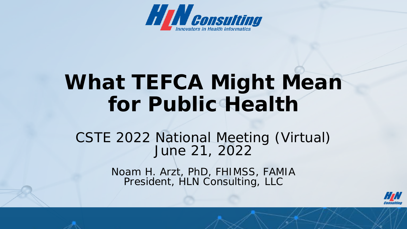

# **What TEFCA Might Mean for Public Health**

### CSTE 2022 National Meeting (Virtual) June 21, 2022

Noam H. Arzt, PhD, FHIMSS, FAMIA President, HLN Consulting, LLC

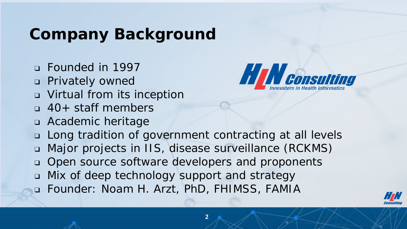## **Company Background**

- ❑ Founded in 1997
- ❑ Privately owned
- ❑ Virtual from its inception
- ❑ 40+ staff members
- ❑ Academic heritage
- ❑ Long tradition of government contracting at all levels
- ❑ Major projects in IIS, disease surveillance (RCKMS)
- ❑ Open source software developers and proponents
- ❑ Mix of deep technology support and strategy
- ❑ Founder: Noam H. Arzt, PhD, FHIMSS, FAMIA



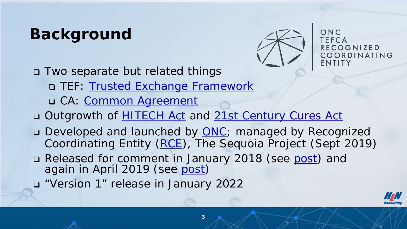# **Background**



ONC **TFFCA RECOGNIZED** COORDINATING ENTITY

- Two separate but related things
	- **D TEF: [Trusted Exchange Framework](https://www.healthit.gov/sites/default/files/page/2022-01/Trusted_Exchange_Framework_0122.pdf)**
	- □ CA: [Common Agreement](https://www.healthit.gov/sites/default/files/page/2022-01/Common_Agreement_for_Nationwide_Health_Information_Interoperability_Version_1.pdf)
- □ Outgrowth of [HITECH Act](https://www.healthit.gov/sites/default/files/hitech_act_excerpt_from_arra_with_index.pdf) and [21st Century Cures Act](https://www.congress.gov/bill/114th-congress/house-bill/34)
- □ Developed and launched by **ONC**; managed by Recognized Coordinating Entity [\(RCE](https://rce.sequoiaproject.org/)), The Sequoia Project (Sept 2019)
- □ Released for comment in January 2018 (see [post\)](https://www.hln.com/tefca-a-public-health-perspective/) and again in April 2019 (see [post](https://www.hln.com/onc-gets-it-mostly-right-with-tefca-2-0/))
- "Version 1" release in January 2022

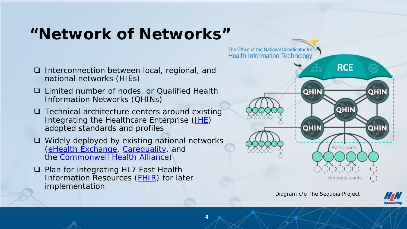### **"Network of Networks"**

- ❑ Interconnection between local, regional, and national networks (HIEs)
- ❑ Limited number of nodes, or Qualified Health Information Networks (QHINs)
- ❑ Technical architecture centers around existing Integrating the Healthcare Enterprise [\(IHE](https://www.ihe.net/)) adopted standards and profiles
- ❑ Widely deployed by existing national networks ([eHealth Exchange,](https://ehealthexchange.org/) [Carequality](https://carequality.org/), and the Commonwell [Health Alliance](https://www.commonwellalliance.org/))
- ❑ Plan for integrating HL7 Fast Health Information Resources ([FHIR\)](https://www.hl7.org/fhir/) for later implementation



*Diagram c/o The Sequoia Project*

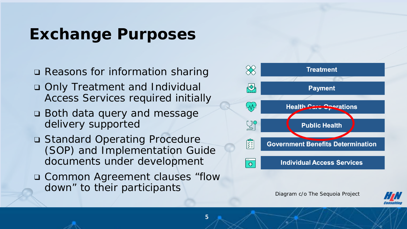## **Exchange Purposes**

- ❑ Reasons for information sharing
- ❑ Only Treatment and Individual Access Services required initially
- ❑ Both data query *and* message delivery supported
- ❑ Standard Operating Procedure (SOP) and Implementation Guide documents under development
- ❑ Common Agreement clauses "flow down" to their participants



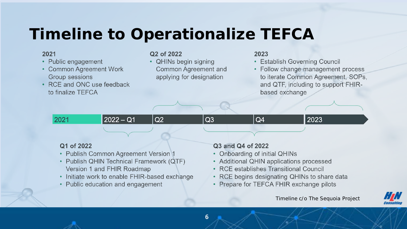# **Timeline to Operationalize TEFCA**

#### 2021

- Public engagement
- Common Agreement Work Group sessions
- RCE and ONC use feedback to finalize TEFCA

#### Q2 of 2022

• QHINs begin signing Common Agreement and applying for designation

#### 2023

- Establish Governing Council
- Follow change management process to iterate Common Agreement, SOPs, and QTF, including to support FHIRbased exchange

 $2022 - Q1$  $Q2$  $Q3$  $Q4$ 2021 2023

#### Q1 of 2022

- Publish Common Agreement Version 1
- Publish QHIN Technical Framework (QTF) Version 1 and FHIR Roadmap
- Initiate work to enable FHIR-based exchange
- Public education and engagement

#### Q3 and Q4 of 2022

- Onboarding of initial QHINs
- Additional QHIN applications processed
- RCE establishes Transitional Council
- RCE begins designating QHINs to share data
- Prepare for TEFCA FHIR exchange pilots



*Timeline c/o The Sequoia Project*

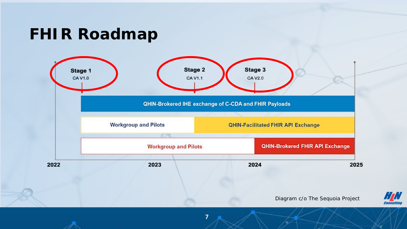### **FHIR Roadmap**



**7**

*Diagram c/o The Sequoia Project*

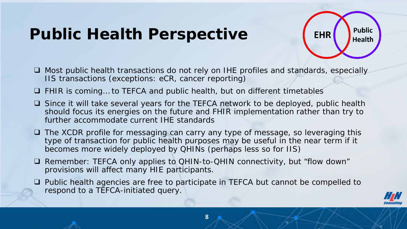### **Public Health Perspective**

**Public EHR** Health

- ❑ Most public health transactions do not rely on IHE profiles and standards, *especially* IIS transactions (exceptions: eCR, cancer reporting)
- ❑ FHIR is coming… to TEFCA and public health, but on different timetables
- ❑ Since it will take several years for the TEFCA network to be deployed, public health should focus its energies on the *future* and FHIR implementation rather than try to further accommodate current IHE standards
- ❑ The XCDR profile for messaging can carry *any* type of message, so leveraging this type of transaction for public health purposes may be useful in the near term if it becomes more widely deployed by QHINs (perhaps less so for IIS)
- ❑ Remember: TEFCA only applies to QHIN-to-QHIN connectivity, but "flow down" provisions will affect many HIE participants.
- ❑ Public health agencies are free to participate in TEFCA but cannot be *compelled* to respond to a TEFCA-initiated query.

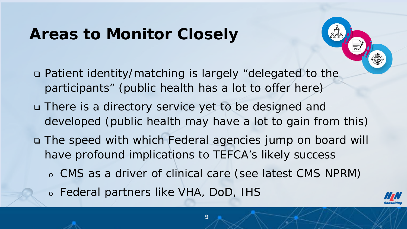### **Areas to Monitor Closely**

- ❑ Patient identity/matching is largely "delegated to the participants" (public health has a lot to *offer* here)
- ❑ There is a directory service yet to be designed and developed (public health may have a lot to *gain* from this)
- ❑ The speed with which Federal agencies jump on board will have profound implications to TEFCA's likely success
	- <sup>o</sup> CMS as a driver of clinical care (see latest CMS NPRM)
	- <sup>o</sup> Federal partners like VHA, DoD, IHS

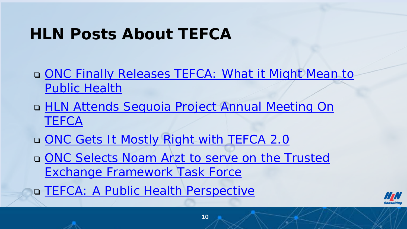### **HLN Posts About TEFCA**

- ❑ [ONC Finally Releases TEFCA: What it Might Mean to](https://www.hln.com/tefca-v1/)  [Public Health](https://www.hln.com/tefca-v1/)
- ❑ [HLN Attends Sequoia Project Annual Meeting On](https://www.hln.com/hln-attends-sequoia-project-annual-meeting-on-tefca/)  **[TEFCA](https://www.hln.com/hln-attends-sequoia-project-annual-meeting-on-tefca/)**
- □ [ONC Gets It Mostly Right with TEFCA 2.0](https://www.hln.com/onc-gets-it-mostly-right-with-tefca-2-0/)
- □ ONC Selects Noam Arzt to serve on the Trusted [Exchange Framework Task Force](https://www.hln.com/onc-selects-noam-arzt-to-serve-on-the-trusted-exchange-framework-task-force/)
- ❑ [TEFCA: A Public Health Perspective](https://www.hln.com/tefca-a-public-health-perspective/)